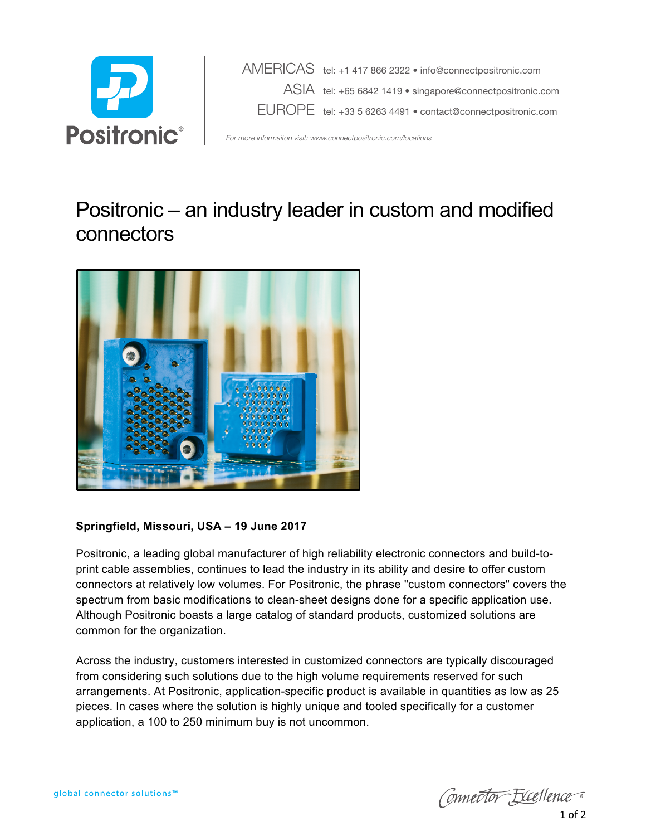

 AMERICAS tel: +1 417 866 2322 • info@connectpositronic.com ASIA tel: +65 6842 1419 • singapore@connectpositronic.com EUROPE tel: +33 5 6263 4491 • contact@connectpositronic.com

*For more informaiton visit: www.connectpositronic.com/locations*

## Positronic – an industry leader in custom and modified connectors



## **Springfield, Missouri, USA – 19 June 2017**

Positronic, a leading global manufacturer of high reliability electronic connectors and build-to print cable assemblies, continues to lead the industry in its ability and desire to offer custom connectors at relatively low volumes. For Positronic, the phrase "custom connectors" covers the spectrum from basic modifications to clean-sheet designs done for a specific application use. Although Positronic boasts a large catalog of standard products, customized solutions are common for the organization.

Across the industry, customers interested in customized connectors are typically discouraged from considering such solutions due to the high volume requirements reserved for such arrangements. At Positronic, application-specific product is available in quantities as low as 25 pieces. In cases where the solution is highly unique and tooled specifically for a customer application, a 100 to 250 minimum buy is not uncommon.

Connector Excellence  $1$  of  $2$